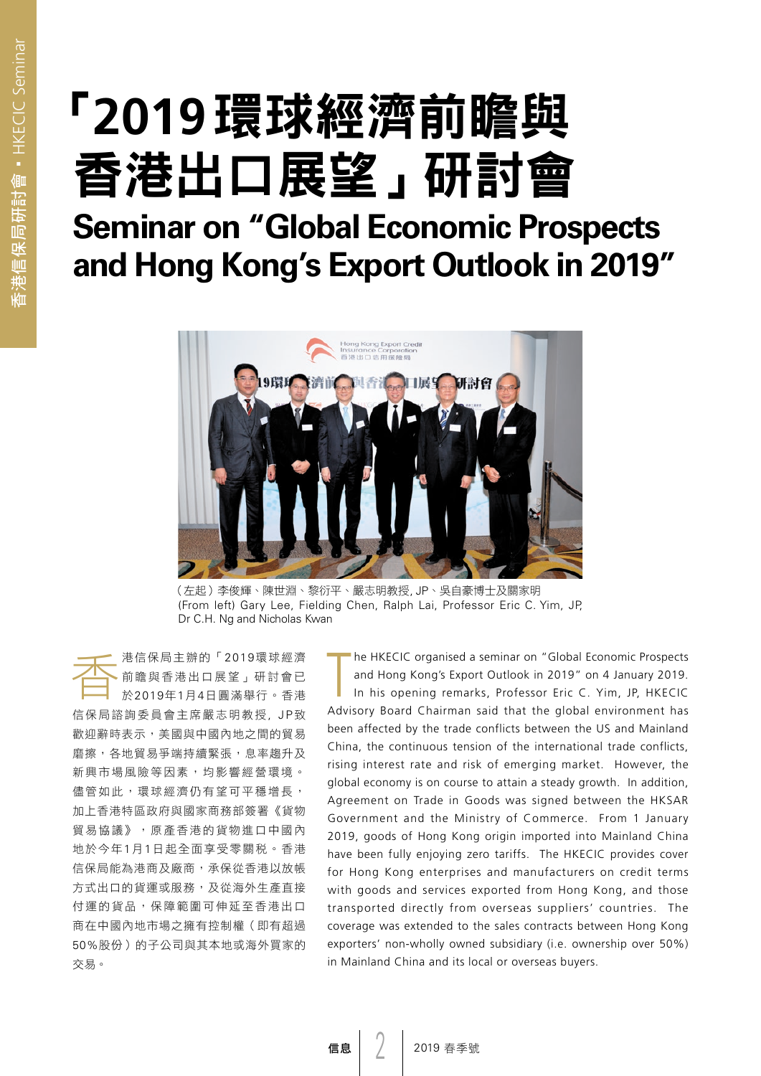# 「**2019**環球經濟前瞻與 香港出口展望」研討會

### **Seminar on "Global Economic Prospects and Hong Kong's Export Outlook in 2019"**



(左起)李俊輝、陳世淵、黎衍平、嚴志明教授, JP、吳自豪博士及關家明 (From left) Gary Lee, Fielding Chen, Ralph Lai, Professor Eric C. Yim, JP, Dr C.H. Ng and Nicholas Kwan

**─────** 港信保局主辦的「2019環球經濟<br>前瞻與香港出口展望」研討會已<br>於2019年1月4日圓滿舉行。香港 前瞻與香港出口展望」研討會已 於2019年1月4日圓滿舉行。香港 信保局諮詢委員會主席嚴志明教授, JP致 歡迎辭時表示,美國與中國內地之間的貿易 磨擦,各地貿易爭端持續緊張,息率趨升及 新興市場風險等因素,均影響經營環境。 儘管如此,環球經濟仍有望可平穩增長, 加上香港特區政府與國家商務部簽署《貨物 貿易協議》,原產香港的貨物進口中國內 地於今年1月1日起全面享受零關稅。香港 信保局能為港商及廠商,承保從香港以放帳 方式出口的貨運或服務,及從海外生產直接 付運的貨品,保障範圍可伸延至香港出口 商在中國內地市場之擁有控制權(即有超過 50%股份)的子公司與其本地或海外買家的 交易。

 $\prod_{i=1}^n$ he HKECIC organised a seminar on "Global Economic Prospects and Hong Kong's Export Outlook in 2019" on 4 January 2019. In his opening remarks, Professor Eric C. Yim, JP, HKECIC Advisory Board Chairman said that the global environment has been affected by the trade conflicts between the US and Mainland China, the continuous tension of the international trade conflicts, rising interest rate and risk of emerging market. However, the global economy is on course to attain a steady growth. In addition, Agreement on Trade in Goods was signed between the HKSAR Government and the Ministry of Commerce. From 1 January 2019, goods of Hong Kong origin imported into Mainland China have been fully enjoying zero tariffs. The HKECIC provides cover for Hong Kong enterprises and manufacturers on credit terms with goods and services exported from Hong Kong, and those transported directly from overseas suppliers' countries. The coverage was extended to the sales contracts between Hong Kong exporters' non-wholly owned subsidiary (i.e. ownership over 50%) in Mainland China and its local or overseas buyers.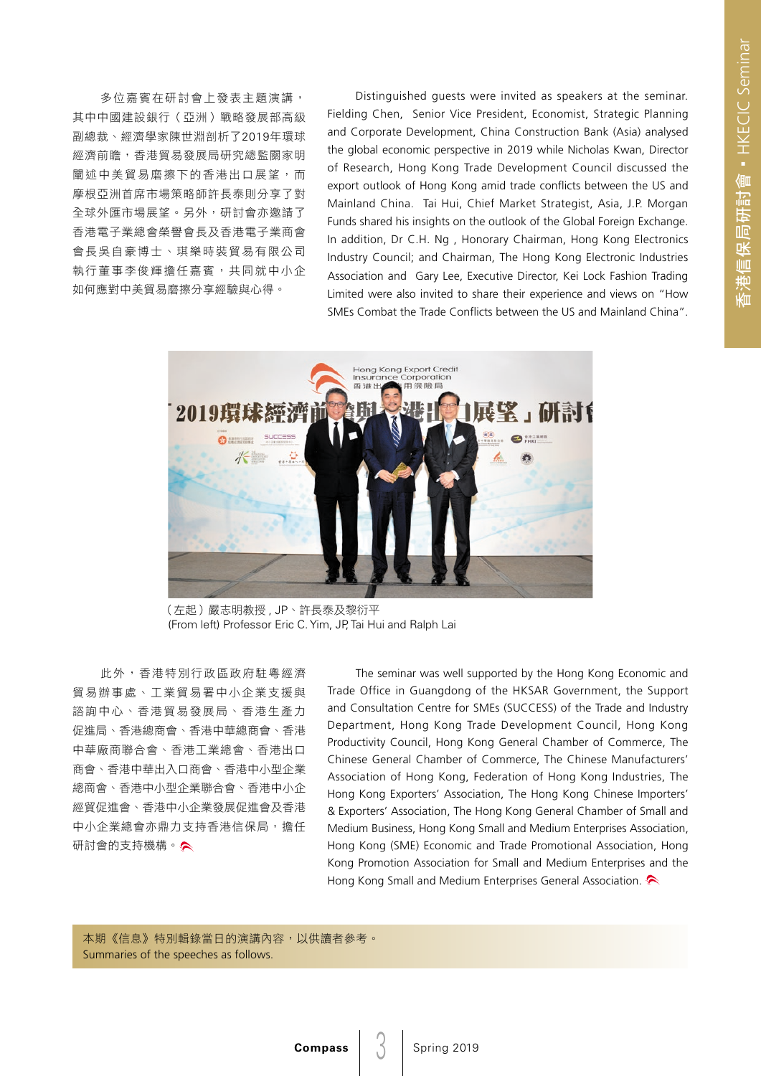多位嘉賓在研討會上發表主題演講, 其中中國建設銀行(亞洲)戰略發展部高級 副總裁、經濟學家陳世淵剖析了2019年環球 經濟前瞻,香港貿易發展局研究總監關家明 闡述中美貿易磨擦下的香港出口展望,而 摩根亞洲首席市場策略師許長泰則分享了對 全球外匯市場展望。另外,研討會亦邀請了 香港電子業總會榮譽會長及香港電子業商會 會長吳自豪博士、琪樂時裝貿易有限公司 執行董事李俊輝擔任嘉賓,共同就中小企 如何應對中美貿易磨擦分享經驗與心得。

Distinguished guests were invited as speakers at the seminar. Fielding Chen, Senior Vice President, Economist, Strategic Planning and Corporate Development, China Construction Bank (Asia) analysed the global economic perspective in 2019 while Nicholas Kwan, Director of Research, Hong Kong Trade Development Council discussed the export outlook of Hong Kong amid trade conflicts between the US and Mainland China. Tai Hui, Chief Market Strategist, Asia, J.P. Morgan Funds shared his insights on the outlook of the Global Foreign Exchange. In addition, Dr C.H. Ng , Honorary Chairman, Hong Kong Electronics Industry Council; and Chairman, The Hong Kong Electronic Industries Association and Gary Lee, Executive Director, Kei Lock Fashion Trading Limited were also invited to share their experience and views on "How SMEs Combat the Trade Conflicts between the US and Mainland China".



(左起)嚴志明教授 , JP、許長泰及黎衍平 (From left) Professor Eric C. Yim, JP, Tai Hui and Ralph Lai

此外,香港特別行政區政府駐粵經濟 貿易辦事處、工業貿易署中小企業支援與 諮詢中心、香港貿易發展局、香港生產力 促進局、香港總商會、香港中華總商會、香港 中華廠商聯合會、香港工業總會、香港出口 商會、香港中華出入口商會、香港中小型企業 總商會、香港中小型企業聯合會、香港中小企 經貿促進會、香港中小企業發展促進會及香港 中小企業總會亦鼎力支持香港信保局,擔任 研討會的支持機構。

The seminar was well supported by the Hong Kong Economic and Trade Office in Guangdong of the HKSAR Government, the Support and Consultation Centre for SMEs (SUCCESS) of the Trade and Industry Department, Hong Kong Trade Development Council, Hong Kong Productivity Council, Hong Kong General Chamber of Commerce, The Chinese General Chamber of Commerce, The Chinese Manufacturers' Association of Hong Kong, Federation of Hong Kong Industries, The Hong Kong Exporters' Association, The Hong Kong Chinese Importers' & Exporters' Association, The Hong Kong General Chamber of Small and Medium Business, Hong Kong Small and Medium Enterprises Association, Hong Kong (SME) Economic and Trade Promotional Association, Hong Kong Promotion Association for Small and Medium Enterprises and the Hong Kong Small and Medium Enterprises General Association.

本期《信息》特別輯錄當日的演講內容,以供讀者參考。 Summaries of the speeches as follows.

 $\mathcal{S}$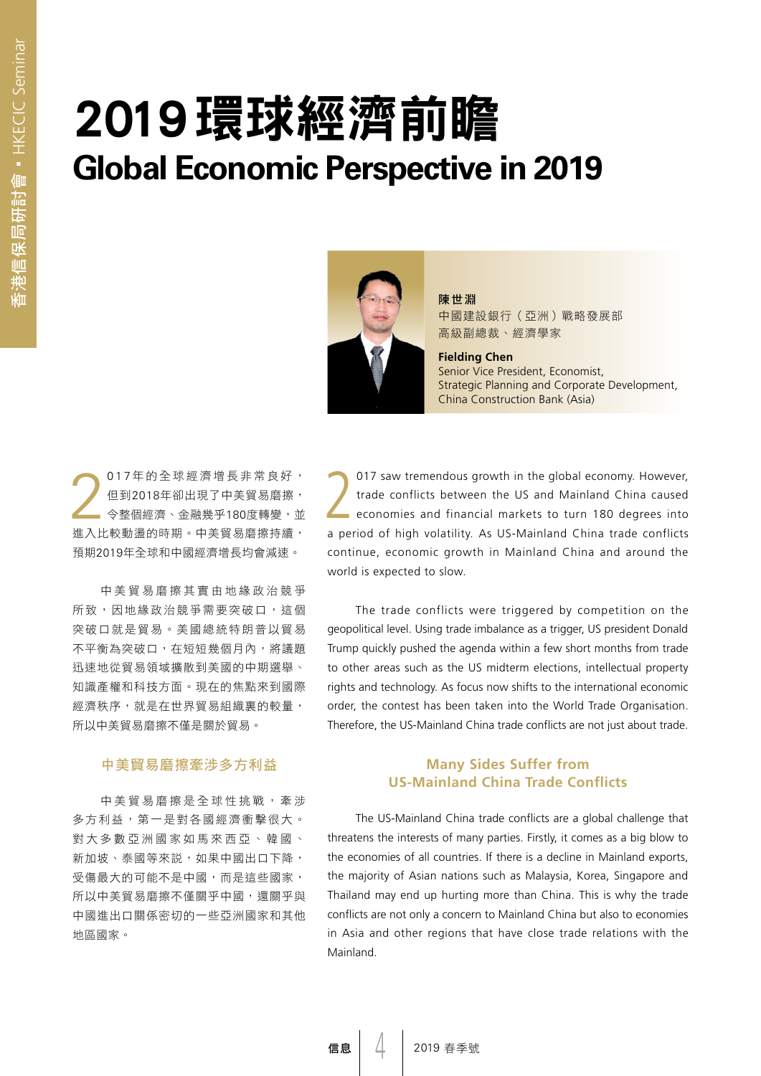## 2019環球經濟前瞻 **Global Economic Perspective in 2019**



陳世淵 中國建設銀行(亞洲)戰略發展部 高級副總裁、經濟學家

**Fielding Chen**  Senior Vice President, Economist, Strategic Planning and Corporate Development, China Construction Bank (Asia)

2 017 年的全球經濟增長非常良好, 但到2018年卻出現了中美貿易磨擦, 令整個經濟、金融幾乎180度轉變,並 進入比較動盪的時期。中美貿易磨擦持續, 預期2019年全球和中國經濟增長均會減速。

中美貿易磨擦其實由地緣政治競爭 所致,因地緣政治競爭需要突破口,這個 突破口就是貿易。美國總統特朗普以貿易 不平衡為突破口,在短短幾個月內,將議題 迅速地從貿易領域擴散到美國的中期選舉、 知識產權和科技方面。現在的焦點來到國際 經濟秩序,就是在世界貿易組織裏的較量, 所以中美貿易磨擦不僅是關於貿易。

### 中美貿易磨擦牽涉多方利益

中美貿易磨擦是全球性挑戰,牽涉 多方利益,第一是對各國經濟衝擊很大。 對大多數亞洲國家如馬來西亞、韓國、 新加坡、泰國等來説,如果中國出口下降, 受傷最大的可能不是中國,而是這些國家, 所以中美貿易磨擦不僅關乎中國,還關乎與 中國進出口關係密切的一些亞洲國家和其他 地區國家。

017 saw tremendous growth in the global economy. However,<br>trade conflicts between the US and Mainland China caused<br>economies and financial markets to turn 180 degrees into trade conflicts between the US and Mainland China caused economies and financial markets to turn 180 degrees into a period of high volatility. As US-Mainland China trade conflicts continue, economic growth in Mainland China and around the world is expected to slow.

The trade conflicts were triggered by competition on the geopolitical level. Using trade imbalance as a trigger, US president Donald Trump quickly pushed the agenda within a few short months from trade to other areas such as the US midterm elections, intellectual property rights and technology. As focus now shifts to the international economic order, the contest has been taken into the World Trade Organisation. Therefore, the US-Mainland China trade conflicts are not just about trade.

### **Many Sides Suffer from US-Mainland China Trade Conflicts**

The US-Mainland China trade conflicts are a global challenge that threatens the interests of many parties. Firstly, it comes as a big blow to the economies of all countries. If there is a decline in Mainland exports, the majority of Asian nations such as Malaysia, Korea, Singapore and Thailand may end up hurting more than China. This is why the trade conflicts are not only a concern to Mainland China but also to economies in Asia and other regions that have close trade relations with the Mainland.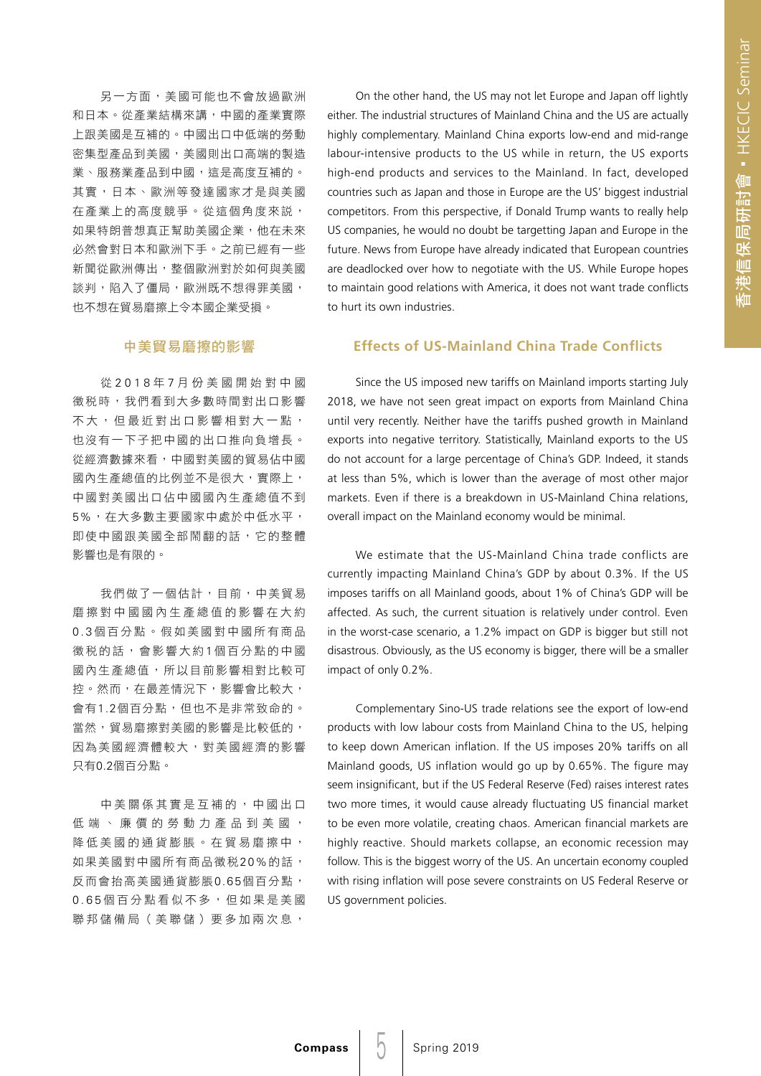另一方面,美國可能也不會放過歐洲 和日本。從產業結構來講,中國的產業實際 上跟美國是互補的。中國出口中低端的勞動 密集型產品到美國,美國則出口高端的製造 業、服務業產品到中國,這是高度互補的。 其實,日本、歐洲等發達國家才是與美國 在產業上的高度競爭。從這個角度來說, 如果特朗普想真正幫助美國企業,他在未來 必然會對日本和歐洲下手。之前已經有一些 新聞從歐洲傳出,整個歐洲對於如何與美國 談判,陷入了僵局,歐洲既不想得罪美國, 也不想在貿易磨擦上令本國企業受損。

### 中美貿易磨擦的影響

從 2018 年 7 月份美國開始對中國 徵稅時,我們看到大多數時間對出口影響 不大,但最近對出口影響相對大一點, 也沒有一下子把中國的出口推向負增長。 從經濟數據來看,中國對美國的貿易佔中國 國內生產總值的比例並不是很大,實際上, 中國對美國出口佔中國國內生產總值不到 5%,在大多數主要國家中處於中低水平, 即使中國跟美國全部鬧翻的話,它的整體 影響也是有限的。

我們做了一個估計,目前,中美貿易 磨擦對中國國內生產總值的影響在大約 0.3個百分點。假如美國對中國所有商品 徵稅的話,會影響大約1個百分點的中國 國內生產總值,所以目前影響相對比較可 控。然而,在最差情況下,影響會比較大, 會有1.2個百分點,但也不是非常致命的。 當然,貿易磨擦對美國的影響是比較低的, 因為美國經濟體較大,對美國經濟的影響 只有0.2個百分點。

中美關係其實是互補的,中國出口 低端、廉價的勞動力產品到美國, 降低美國的通貨膨脹。在貿易磨擦中, 如果美國對中國所有商品徵税20%的話, 反而會抬高美國通貨膨脹0.65個百分點, 0.65 個百分點看似不多,但如果是美國 聯邦儲備局(美聯儲)要多加兩次息,

On the other hand, the US may not let Europe and Japan off lightly either. The industrial structures of Mainland China and the US are actually highly complementary. Mainland China exports low-end and mid-range labour-intensive products to the US while in return, the US exports high-end products and services to the Mainland. In fact, developed countries such as Japan and those in Europe are the US' biggest industrial competitors. From this perspective, if Donald Trump wants to really help US companies, he would no doubt be targetting Japan and Europe in the future. News from Europe have already indicated that European countries are deadlocked over how to negotiate with the US. While Europe hopes to maintain good relations with America, it does not want trade conflicts to hurt its own industries.

### **Effects of US-Mainland China Trade Conflicts**

Since the US imposed new tariffs on Mainland imports starting July 2018, we have not seen great impact on exports from Mainland China until very recently. Neither have the tariffs pushed growth in Mainland exports into negative territory. Statistically, Mainland exports to the US do not account for a large percentage of China's GDP. Indeed, it stands at less than 5%, which is lower than the average of most other major markets. Even if there is a breakdown in US-Mainland China relations, overall impact on the Mainland economy would be minimal.

We estimate that the US-Mainland China trade conflicts are currently impacting Mainland China's GDP by about 0.3%. If the US imposes tariffs on all Mainland goods, about 1% of China's GDP will be affected. As such, the current situation is relatively under control. Even in the worst-case scenario, a 1.2% impact on GDP is bigger but still not disastrous. Obviously, as the US economy is bigger, there will be a smaller impact of only 0.2%.

Complementary Sino-US trade relations see the export of low-end products with low labour costs from Mainland China to the US, helping to keep down American inflation. If the US imposes 20% tariffs on all Mainland goods, US inflation would go up by 0.65%. The figure may seem insignificant, but if the US Federal Reserve (Fed) raises interest rates two more times, it would cause already fluctuating US financial market to be even more volatile, creating chaos. American financial markets are highly reactive. Should markets collapse, an economic recession may follow. This is the biggest worry of the US. An uncertain economy coupled with rising inflation will pose severe constraints on US Federal Reserve or US government policies.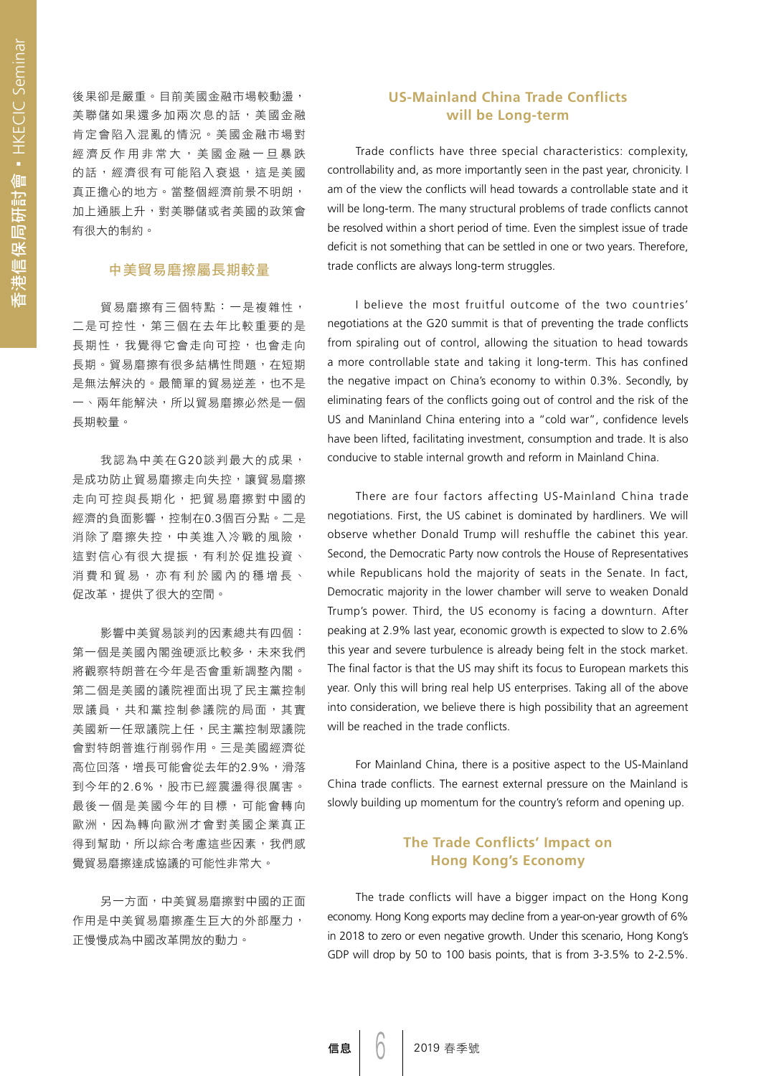後果卻是嚴重。目前美國金融市場較動盪, 美聯儲如果還多加兩次息的話,美國金融 肯定會陷入混亂的情況。美國金融市場對 經濟反作用非常大,美國金融一旦暴跌 的話,經濟很有可能陷入衰退,這是美國 真正擔心的地方。當整個經濟前景不明朗, 加上通脹上升,對美聯儲或者美國的政策會 有很大的制約。

### 中美貿易磨擦屬長期較量

貿易磨擦有三個特點:一是複雜性, 二是可控性,第三個在去年比較重要的是 長期性,我覺得它會走向可控,也會走向 長期。貿易磨擦有很多結構性問題,在短期 是無法解決的。最簡單的貿易逆差,也不是 一、兩年能解決,所以貿易磨擦必然是一個 長期較量。

我認為中美在G20談判最大的成果, 是成功防止貿易磨擦走向失控,讓貿易磨擦 走向可控與長期化,把貿易磨擦對中國的 經濟的負面影響,控制在0.3個百分點。二是 消除了磨擦失控,中美進入冷戰的風險, 這對信心有很大提振,有利於促進投資、 消費和貿易,亦有利於國內的穩增長、 促改革,提供了很大的空間。

影響中美貿易談判的因素總共有四個: 第一個是美國內閣強硬派比較多,未來我們 將觀察特朗普在今年是否會重新調整內閣。 第二個是美國的議院裡面出現了民主黨控制 眾議員,共和黨控制參議院的局面,其實 美國新一任眾議院上任,民主黨控制眾議院 會對特朗普進行削弱作用。三是美國經濟從 高位回落,增長可能會從去年的2.9%,滑落 到今年的2.6%,股市已經震盪得很厲害。 最後一個是美國今年的目標,可能會轉向 歐洲,因為轉向歐洲才會對美國企業真正 得到幫助,所以綜合考慮這些因素,我們感 覺貿易磨擦達成協議的可能性非常大。

另一方面,中美貿易磨擦對中國的正面 作用是中美貿易磨擦產生巨大的外部壓力, 正慢慢成為中國改革開放的動力。

### **US-Mainland China Trade Conflicts will be Long-term**

Trade conflicts have three special characteristics: complexity, controllability and, as more importantly seen in the past year, chronicity. I am of the view the conflicts will head towards a controllable state and it will be long-term. The many structural problems of trade conflicts cannot be resolved within a short period of time. Even the simplest issue of trade deficit is not something that can be settled in one or two years. Therefore, trade conflicts are always long-term struggles.

I believe the most fruitful outcome of the two countries' negotiations at the G20 summit is that of preventing the trade conflicts from spiraling out of control, allowing the situation to head towards a more controllable state and taking it long-term. This has confined the negative impact on China's economy to within 0.3%. Secondly, by eliminating fears of the conflicts going out of control and the risk of the US and Maninland China entering into a "cold war", confidence levels have been lifted, facilitating investment, consumption and trade. It is also conducive to stable internal growth and reform in Mainland China.

There are four factors affecting US-Mainland China trade negotiations. First, the US cabinet is dominated by hardliners. We will observe whether Donald Trump will reshuffle the cabinet this year. Second, the Democratic Party now controls the House of Representatives while Republicans hold the majority of seats in the Senate. In fact, Democratic majority in the lower chamber will serve to weaken Donald Trump's power. Third, the US economy is facing a downturn. After peaking at 2.9% last year, economic growth is expected to slow to 2.6% this year and severe turbulence is already being felt in the stock market. The final factor is that the US may shift its focus to European markets this year. Only this will bring real help US enterprises. Taking all of the above into consideration, we believe there is high possibility that an agreement will be reached in the trade conflicts.

For Mainland China, there is a positive aspect to the US-Mainland China trade conflicts. The earnest external pressure on the Mainland is slowly building up momentum for the country's reform and opening up.

### **The Trade Conflicts' Impact on Hong Kong's Economy**

The trade conflicts will have a bigger impact on the Hong Kong economy. Hong Kong exports may decline from a year-on-year growth of 6% in 2018 to zero or even negative growth. Under this scenario, Hong Kong's GDP will drop by 50 to 100 basis points, that is from 3-3.5% to 2-2.5%.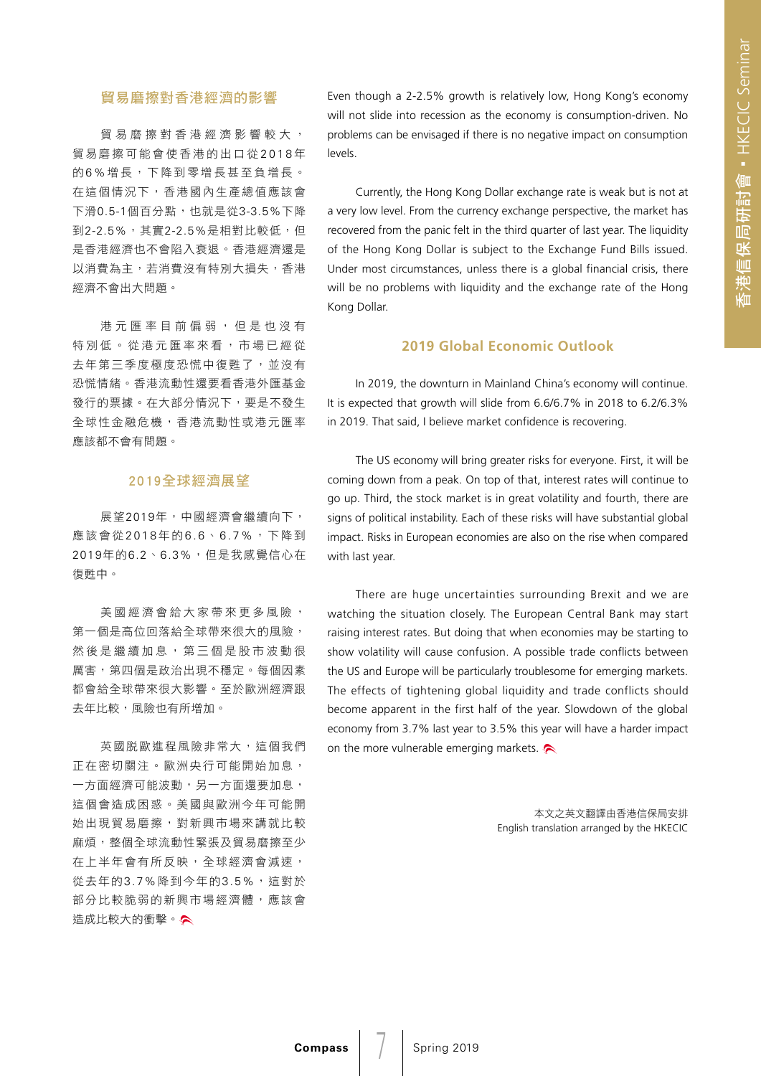### 貿易磨擦對香港經濟的影響

貿易磨擦對香港經濟影響較大, 貿易磨擦可能會使香港的出口從 2018 年 的6 %增長,下降到零增長甚至負增長。 在這個情況下,香港國內生產總值應該會 下滑0.5-1個百分點,也就是從3-3.5%下降 到2-2.5%,其實2-2.5%是相對比較低,但 是香港經濟也不會陷入衰退。香港經濟還是 以消費為主,若消費沒有特別大損失,香港 經濟不會出大問題。

港元匯率目前偏弱,但是也沒有 特別低。從港元匯率來看,市場已經從 去年第三季度極度恐慌中復甦了,並沒有 恐慌情緒。香港流動性還要看香港外匯基金 發行的票據。在大部分情況下,要是不發生 全球性金融危機,香港流動性或港元匯率 應該都不會有問題。

#### 2019全球經濟展望

展望2019年,中國經濟會繼續向下, 應該會從2018年的6.6、6.7%,下降到 2019年的6.2、6.3%,但是我感覺信心在 復甦中。

美國經濟會給大家帶來更多風險, 第一個是高位回落給全球帶來很大的風險, 然後是繼續加息,第三個是股市波動很 厲害,第四個是政治出現不穩定。每個因素 都會給全球帶來很大影響。至於歐洲經濟跟 去年比較,風險也有所增加。

英國脱歐進程風險非常大,這個我們 正在密切關注。歐洲央行可能開始加息, 一方面經濟可能波動,另一方面還要加息, 這個會造成困惑。美國與歐洲今年可能開 始出現貿易磨擦,對新興市場來講就比較 麻煩,整個全球流動性緊張及貿易磨擦至少 在上半年會有所反映,全球經濟會減速, 從去年的3.7%降到今年的3.5%,這對於 部分比較脆弱的新興市場經濟體,應該會 造成比較大的衝擊。

Even though a 2-2.5% growth is relatively low, Hong Kong's economy will not slide into recession as the economy is consumption-driven. No problems can be envisaged if there is no negative impact on consumption levels.

Currently, the Hong Kong Dollar exchange rate is weak but is not at a very low level. From the currency exchange perspective, the market has recovered from the panic felt in the third quarter of last year. The liquidity of the Hong Kong Dollar is subject to the Exchange Fund Bills issued. Under most circumstances, unless there is a global financial crisis, there will be no problems with liquidity and the exchange rate of the Hong Kong Dollar.

### **2019 Global Economic Outlook**

In 2019, the downturn in Mainland China's economy will continue. It is expected that growth will slide from 6.6/6.7% in 2018 to 6.2/6.3% in 2019. That said, I believe market confidence is recovering.

The US economy will bring greater risks for everyone. First, it will be coming down from a peak. On top of that, interest rates will continue to go up. Third, the stock market is in great volatility and fourth, there are signs of political instability. Each of these risks will have substantial global impact. Risks in European economies are also on the rise when compared with last year.

There are huge uncertainties surrounding Brexit and we are watching the situation closely. The European Central Bank may start raising interest rates. But doing that when economies may be starting to show volatility will cause confusion. A possible trade conflicts between the US and Europe will be particularly troublesome for emerging markets. The effects of tightening global liquidity and trade conflicts should become apparent in the first half of the year. Slowdown of the global economy from 3.7% last year to 3.5% this year will have a harder impact on the more vulnerable emerging markets.

> 本文之英文翻譯由香港信保局安排 English translation arranged by the HKECIC

 $\sqrt{2}$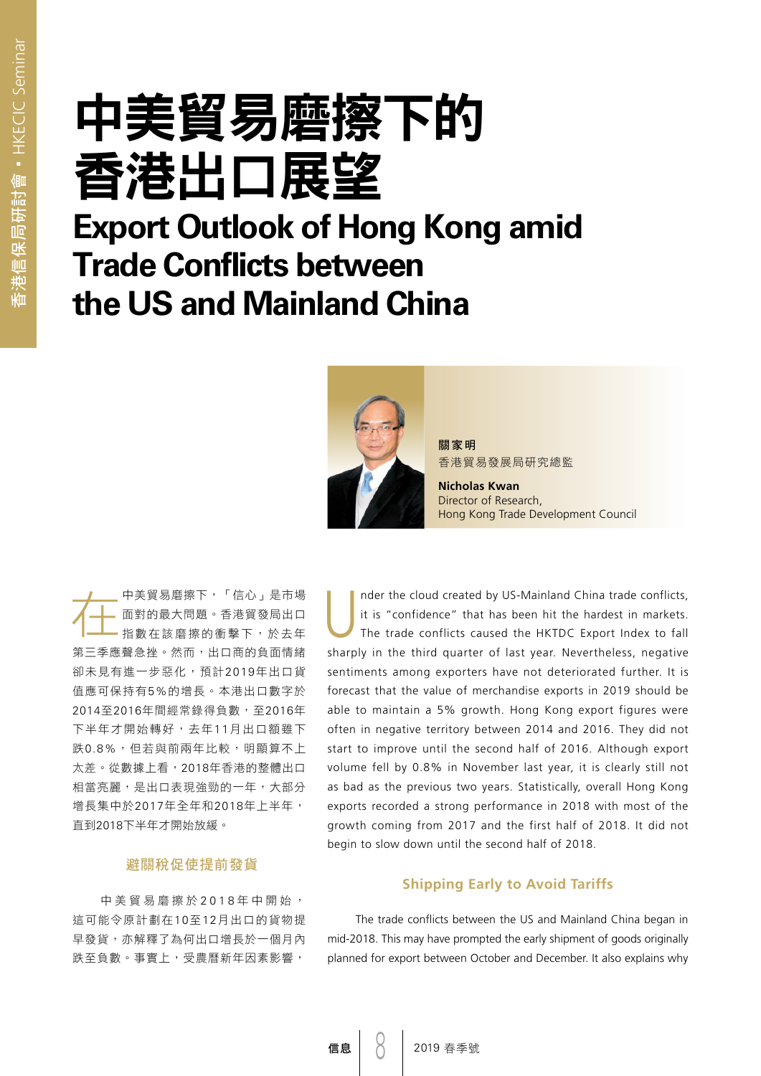# 中美貿易磨擦下的 香港出口展望

### **Export Outlook of Hong Kong amid Trade Conflicts between the US and Mainland China**



關家明 香港貿易發展局研究總監

**Nicholas Kwan**  Director of Research, Hong Kong Trade Development Council

在中美貿易磨擦下,「信心」是市場 面對的最大問題。香港貿發局出口 指數在該磨擦的衝擊下,於去年 第三季應聲急挫。然而,出口商的負面情緒 卻未見有進一步惡化,預計2019年出口貨 值應可保持有5%的增長。本港出口數字於 2014至2016年間經常錄得負數,至2016年 下半年才開始轉好,去年11月出口額雖下 跌0.8%,但若與前兩年比較,明顯算不上 太差。從數據上看,2018年香港的整體出口 相當亮麗,是出口表現強勁的一年,大部分 增長集中於2017年全年和2018年上半年, 直到2018下半年才開始放緩。

### 避關稅促使提前發貨

中美貿易磨擦於 2018年中開始, 這可能令原計劃在10至12月出口的貨物提 早發貨,亦解釋了為何出口增長於一個月內 跌至負數。事實上,受農曆新年因素影響,

Inder the cloud created by US-Mainland China trade conflicts,<br>it is "confidence" that has been hit the hardest in markets.<br>The trade conflicts caused the HKTDC Export Index to fall it is "confidence" that has been hit the hardest in markets. sharply in the third quarter of last year. Nevertheless, negative sentiments among exporters have not deteriorated further. It is forecast that the value of merchandise exports in 2019 should be able to maintain a 5% growth. Hong Kong export figures were often in negative territory between 2014 and 2016. They did not start to improve until the second half of 2016. Although export volume fell by 0.8% in November last year, it is clearly still not as bad as the previous two years. Statistically, overall Hong Kong exports recorded a strong performance in 2018 with most of the growth coming from 2017 and the first half of 2018. It did not begin to slow down until the second half of 2018.

#### **Shipping Early to Avoid Tariffs**

The trade conflicts between the US and Mainland China began in mid-2018. This may have prompted the early shipment of goods originally planned for export between October and December. It also explains why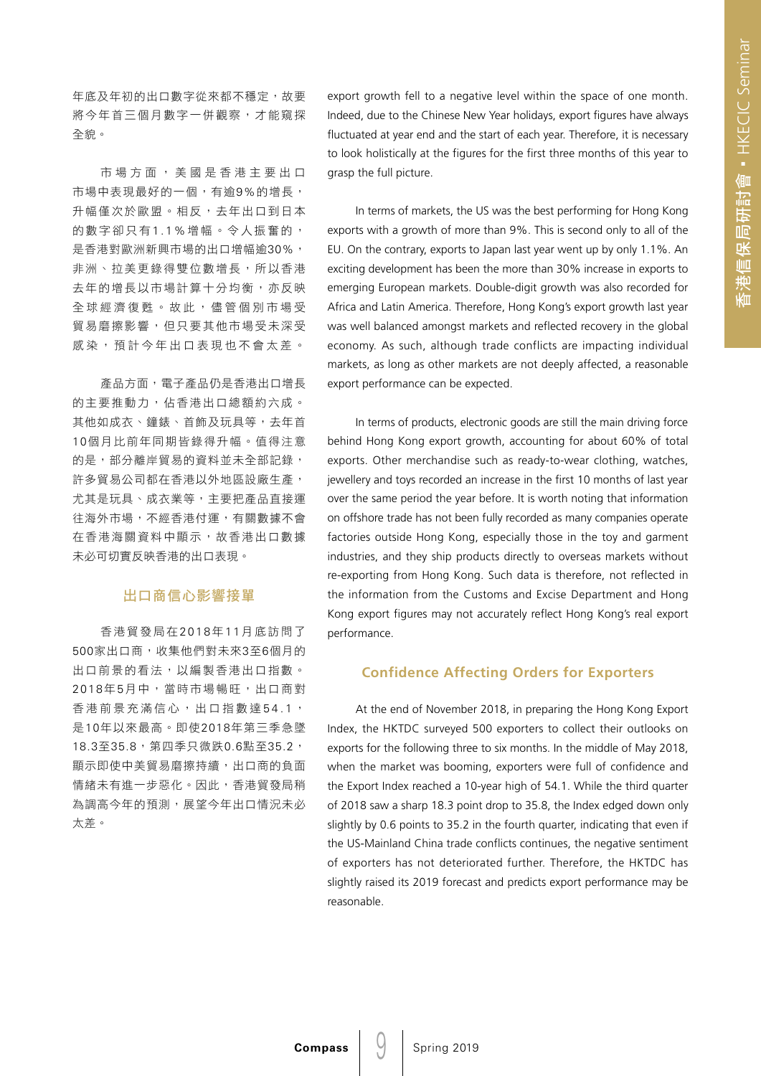年底及年初的出口數字從來都不穩定,故要 將今年首三個月數字一併觀察,才能窺探 全貌。

市場方面,美國是香港主要出口 市場中表現最好的一個,有逾9%的增長, 升幅僅次於歐盟。相反,去年出口到日本 的數字卻只有1.1%增幅。令人振奮的, 是香港對歐洲新興市場的出口增幅逾30%, 非洲、拉美更錄得雙位數增長,所以香港 去年的增長以市場計算十分均衡,亦反映 全球經濟復甦。故此,儘管個別市場受 貿易磨擦影響,但只要其他市場受未深受 感染,預計今年出口表現也不會太差。

產品方面,電子產品仍是香港出口增長 的主要推動力,佔香港出口總額約六成。 其他如成衣、鐘錶、首飾及玩具等,去年首 10個月比前年同期皆錄得升幅。值得注意 的是,部分離岸貿易的資料並未全部記錄, 許多貿易公司都在香港以外地區設廠生產, 尤其是玩具、成衣業等,主要把產品直接運 往海外市場,不經香港付運,有關數據不會 在香港海關資料中顯示,故香港出口數據 未必可切實反映香港的出口表現。

### 出口商信心影響接單

香港貿發局在2018年1 1月底訪問了 500家出口商,收集他們對未來3至6個月的 出口前景的看法,以編製香港出口指數。 2018年5月中,當時市場暢旺,出口商對 香港前景充滿信心,出口指數達 54.1, 是10年以來最高。即使2018年第三季急墜 18.3至35.8,第四季只微跌0.6點至35.2, 顯示即使中美貿易磨擦持續,出口商的負面 情緒未有進一步惡化。因此,香港貿發局稍 為調高今年的預測,展望今年出口情況未必 太差。

export growth fell to a negative level within the space of one month. Indeed, due to the Chinese New Year holidays, export figures have always fluctuated at year end and the start of each year. Therefore, it is necessary to look holistically at the figures for the first three months of this year to grasp the full picture.

In terms of markets, the US was the best performing for Hong Kong exports with a growth of more than 9%. This is second only to all of the EU. On the contrary, exports to Japan last year went up by only 1.1%. An exciting development has been the more than 30% increase in exports to emerging European markets. Double-digit growth was also recorded for Africa and Latin America. Therefore, Hong Kong's export growth last year was well balanced amongst markets and reflected recovery in the global economy. As such, although trade conflicts are impacting individual markets, as long as other markets are not deeply affected, a reasonable export performance can be expected.

In terms of products, electronic goods are still the main driving force behind Hong Kong export growth, accounting for about 60% of total exports. Other merchandise such as ready-to-wear clothing, watches, jewellery and toys recorded an increase in the first 10 months of last year over the same period the year before. It is worth noting that information on offshore trade has not been fully recorded as many companies operate factories outside Hong Kong, especially those in the toy and garment industries, and they ship products directly to overseas markets without re-exporting from Hong Kong. Such data is therefore, not reflected in the information from the Customs and Excise Department and Hong Kong export figures may not accurately reflect Hong Kong's real export performance.

### **Confidence Affecting Orders for Exporters**

At the end of November 2018, in preparing the Hong Kong Export Index, the HKTDC surveyed 500 exporters to collect their outlooks on exports for the following three to six months. In the middle of May 2018, when the market was booming, exporters were full of confidence and the Export Index reached a 10-year high of 54.1. While the third quarter of 2018 saw a sharp 18.3 point drop to 35.8, the Index edged down only slightly by 0.6 points to 35.2 in the fourth quarter, indicating that even if the US-Mainland China trade conflicts continues, the negative sentiment of exporters has not deteriorated further. Therefore, the HKTDC has slightly raised its 2019 forecast and predicts export performance may be reasonable.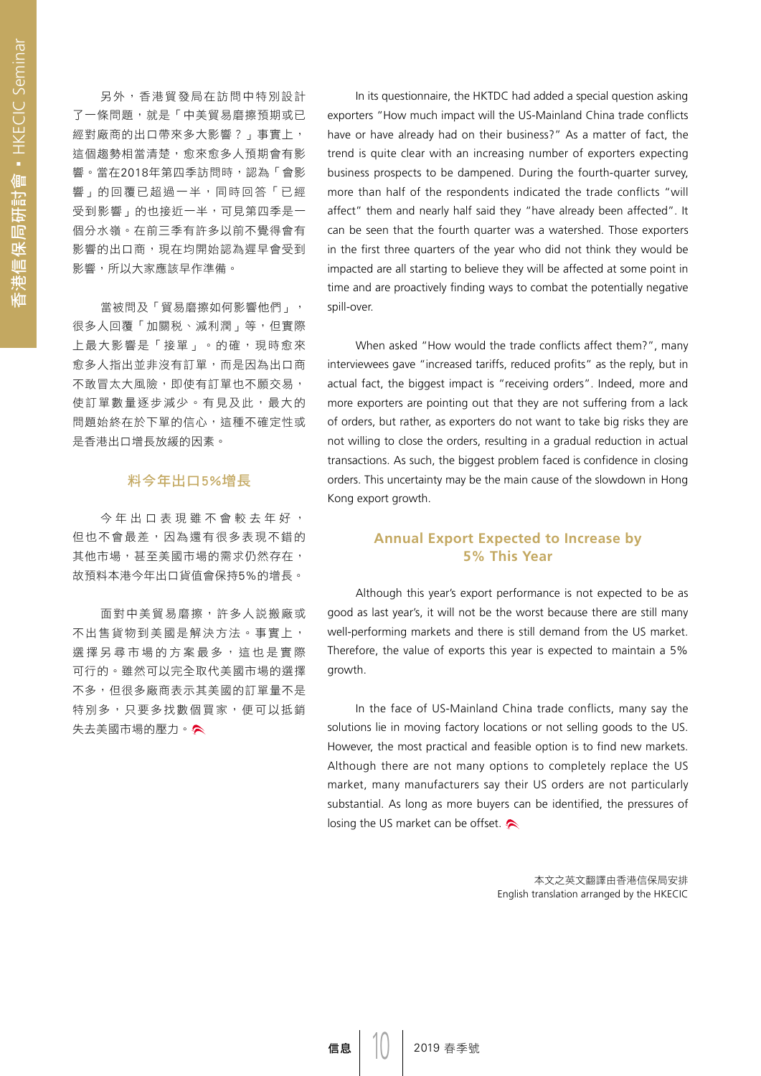另外,香港貿發局在訪問中特別設計 了一條問題,就是「中美貿易磨擦預期或已 經對廠商的出口帶來多大影響?」事實上, 這個趨勢相當清楚,愈來愈多人預期會有影 響。當在2018年第四季訪問時,認為「會影 響」的回覆已超過一半,同時回答「已經 受到影響」的也接近一半,可見第四季是一 個分水嶺。在前三季有許多以前不覺得會有 影響的出口商,現在均開始認為遲早會受到 影響,所以大家應該早作準備。

當被問及「貿易磨擦如何影響他們」, 很多人回覆「加關税、減利潤」等,但實際 上最大影響是「接單」。的確,現時愈來 愈多人指出並非沒有訂單,而是因為出口商 不敢冒太大風險,即使有訂單也不願交易, 使訂單數量逐步減少。有見及此,最大的 問題始終在於下單的信心,這種不確定性或 是香港出口增長放緩的因素。

### 料今年出口5%增長

今年出口表現雖不會較去年好, 但也不會最差,因為還有很多表現不錯的 其他市場,甚至美國市場的需求仍然存在, 故預料本港今年出口貨值會保持5%的增長。

面對中美貿易磨擦,許多人説搬廠或 不出售貨物到美國是解決方法。事實上, 選擇另尋市場的方案最多,這也是實際 可行的。雖然可以完全取代美國市場的選擇 不多,但很多廠商表示其美國的訂單量不是 特別多,只要多找數個買家,便可以抵銷 失去美國市場的壓力。

In its questionnaire, the HKTDC had added a special question asking exporters "How much impact will the US-Mainland China trade conflicts have or have already had on their business?" As a matter of fact, the trend is quite clear with an increasing number of exporters expecting business prospects to be dampened. During the fourth-quarter survey, more than half of the respondents indicated the trade conflicts "will affect" them and nearly half said they "have already been affected". It can be seen that the fourth quarter was a watershed. Those exporters in the first three quarters of the year who did not think they would be impacted are all starting to believe they will be affected at some point in time and are proactively finding ways to combat the potentially negative spill-over.

When asked "How would the trade conflicts affect them?", many interviewees gave "increased tariffs, reduced profits" as the reply, but in actual fact, the biggest impact is "receiving orders". Indeed, more and more exporters are pointing out that they are not suffering from a lack of orders, but rather, as exporters do not want to take big risks they are not willing to close the orders, resulting in a gradual reduction in actual transactions. As such, the biggest problem faced is confidence in closing orders. This uncertainty may be the main cause of the slowdown in Hong Kong export growth.

### **Annual Export Expected to Increase by 5% This Year**

Although this year's export performance is not expected to be as good as last year's, it will not be the worst because there are still many well-performing markets and there is still demand from the US market. Therefore, the value of exports this year is expected to maintain a 5% growth.

In the face of US-Mainland China trade conflicts, many say the solutions lie in moving factory locations or not selling goods to the US. However, the most practical and feasible option is to find new markets. Although there are not many options to completely replace the US market, many manufacturers say their US orders are not particularly substantial. As long as more buyers can be identified, the pressures of losing the US market can be offset.

> 本文之英文翻譯由香港信保局安排 English translation arranged by the HKECIC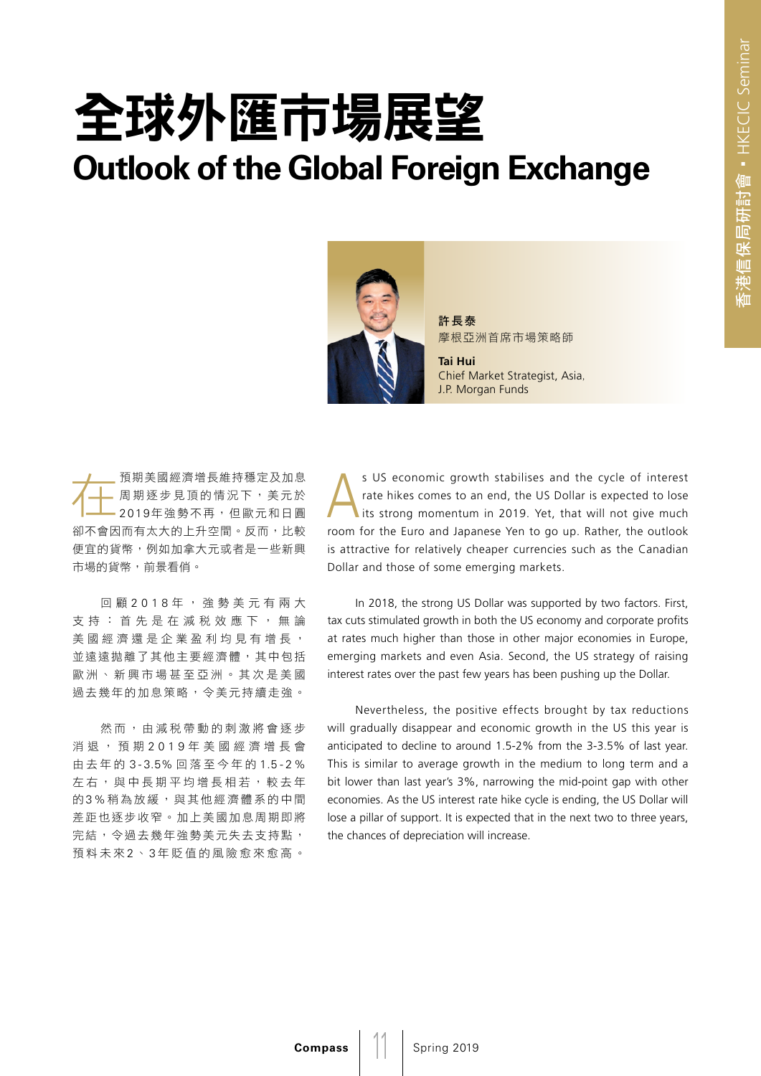## 全球外匯市場展望 **Outlook of the Global Foreign Exchange**



許長泰 摩根亞洲首席市場策略師

**Tai Hui**  Chief Market Strategist, Asia, J.P. Morgan Funds

在預期美國經濟增長維持穩定及加息 周期逐步見頂的情況下,美元於 2019年強勢不再,但歐元和日圓 卻不會因而有太大的上升空間。反而,比較 便宜的貨幣,例如加拿大元或者是一些新興 市場的貨幣,前景看俏。

回顧 2018年,強勢美元有兩大 支持:首先是在減稅效應下,無論 美國經濟還是企業盈利均見有增長, 並遠遠拋離了其他主要經濟體,其中包括 歐洲、新興市場甚至亞洲。其次是美國 過去幾年的加息策略,令美元持續走強。

然而,由減税帶動的刺激將會逐步 消退,預期 2019年美國經濟增長會 由去年的 3 - 3.5% 回落至今年的 1.5 - 2 % 左右,與中長期平均增長相若,較去年 的3%稍為放緩,與其他經濟體系的中間 差距也逐步收窄。加上美國加息周期即將 完結,令過去幾年強勢美元失去支持點, 預料未來 2 、 3 年貶值的風險愈來愈高。

s US economic growth stabilises and the cycle of interest<br>rate hikes comes to an end, the US Dollar is expected to lose<br>its strong momentum in 2019. Yet, that will not give much rate hikes comes to an end, the US Dollar is expected to lose lits strong momentum in 2019. Yet, that will not give much room for the Euro and Japanese Yen to go up. Rather, the outlook is attractive for relatively cheaper currencies such as the Canadian Dollar and those of some emerging markets.

In 2018, the strong US Dollar was supported by two factors. First, tax cuts stimulated growth in both the US economy and corporate profits at rates much higher than those in other major economies in Europe, emerging markets and even Asia. Second, the US strategy of raising interest rates over the past few years has been pushing up the Dollar.

Nevertheless, the positive effects brought by tax reductions will gradually disappear and economic growth in the US this year is anticipated to decline to around 1.5-2% from the 3-3.5% of last year. This is similar to average growth in the medium to long term and a bit lower than last year's 3%, narrowing the mid-point gap with other economies. As the US interest rate hike cycle is ending, the US Dollar will lose a pillar of support. It is expected that in the next two to three years, the chances of depreciation will increase.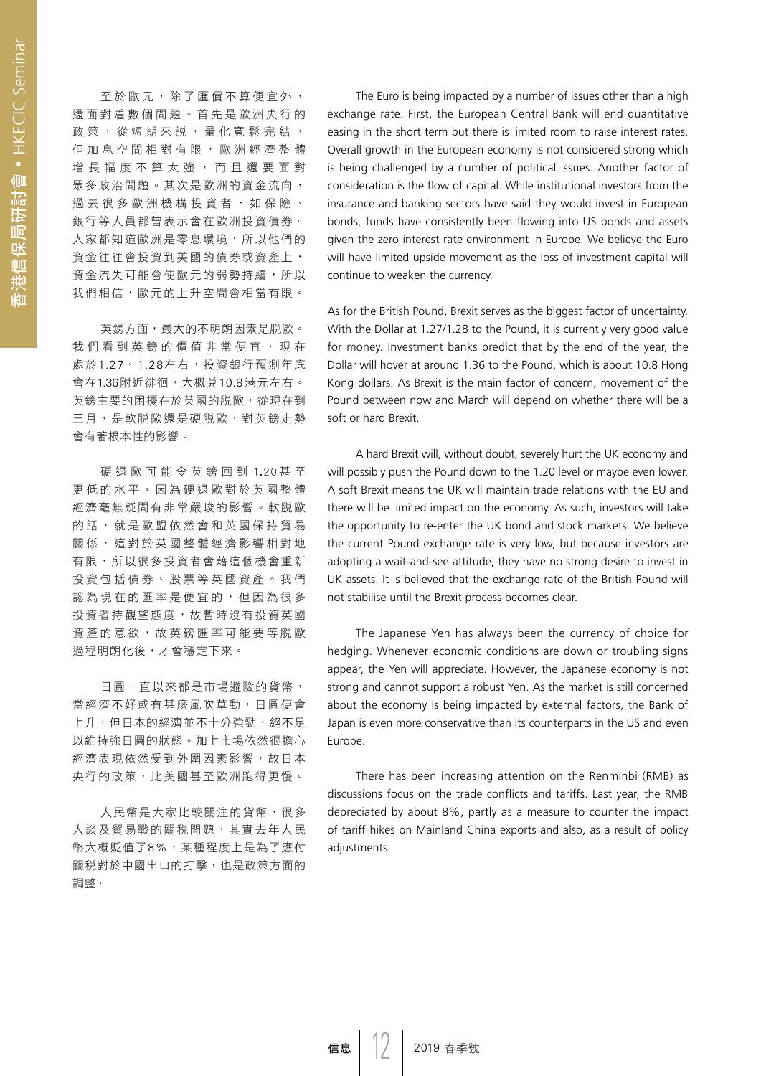至於歐元,除了匯價不算便宜外, 還面對着數個問題。首先是歐洲央行的 政策, 從短期來説, 量化寬鬆完結, 但加息空間相對有限,歐洲經濟整體 增長幅度不算太強,而且還要面對 眾多政治問題。其次是歐洲的資金流向, 過去很多歐洲機構投資者,如保險、 銀行等人員都曾表示會在歐洲投資債券。 大家都知道歐洲是零息環境,所以他們的 資金往往會投資到美國的債券或資產上, 資金流失可能會使歐元的弱勢持續,所以 我們相信,歐元的上升空間會相當有限。

英鎊方面,最大的不明朗因素是脱歐。 我們看到英鎊的價值非常便宜,現在 處於1.27、1.28左右,投資銀行預測年底 會在1.36附近徘徊,大概兑10.8港元左右。 英鎊主要的困擾在於英國的脫歐,從現在到 三月,是軟脱歐還是硬脫歐,對英鎊走勢 會有著根本性的影響。

硬 退 歐 可 能 令 英 鎊 回 到 1.20甚 至 更低的水平。因為硬退歐對於英國整體 經濟毫無疑問有非常嚴峻的影響。軟脫歐 的話,就是歐盟依然會和英國保持貿易 關係,這對於英國整體經濟影響相對地 有限,所以很多投資者會藉這個機會重新 投資包括債券、股票等英國資產。我們 認為現在的匯率是便宜的,但因為很多 投資者持觀望態度,故暫時沒有投資英國 資產的意欲,故英磅匯率可能要等脫歐 過程明朗化後,才會穩定下來。

日圓一直以來都是市場避險的貨幣, 當經濟不好或有甚麼風吹草動,日圓便會 上升,但日本的經濟並不十分強勁,絕不足 以維持強日圓的狀態。加上市場依然很擔心 經濟表現依然受到外圍因素影響,故日本 央行的政策,比美國甚至歐洲跑得更慢。

人民幣是大家比較關注的貨幣,很多 人談及貿易戰的關税問題,其實去年人民 幣大概貶值了8%,某種程度上是為了應付 關稅對於中國出口的打擊,也是政策方面的 調整。

The Euro is being impacted by a number of issues other than a high exchange rate. First, the European Central Bank will end quantitative easing in the short term but there is limited room to raise interest rates. Overall growth in the European economy is not considered strong which is being challenged by a number of political issues. Another factor of consideration is the flow of capital. While institutional investors from the insurance and banking sectors have said they would invest in European bonds, funds have consistently been flowing into US bonds and assets given the zero interest rate environment in Europe. We believe the Euro will have limited upside movement as the loss of investment capital will continue to weaken the currency.

As for the British Pound, Brexit serves as the biggest factor of uncertainty. With the Dollar at 1.27/1.28 to the Pound, it is currently very good value for money. Investment banks predict that by the end of the year, the Dollar will hover at around 1.36 to the Pound, which is about 10.8 Hong Kong dollars. As Brexit is the main factor of concern, movement of the Pound between now and March will depend on whether there will be a soft or hard Brexit.

A hard Brexit will, without doubt, severely hurt the UK economy and will possibly push the Pound down to the 1.20 level or maybe even lower. A soft Brexit means the UK will maintain trade relations with the EU and there will be limited impact on the economy. As such, investors will take the opportunity to re-enter the UK bond and stock markets. We believe the current Pound exchange rate is very low, but because investors are adopting a wait-and-see attitude, they have no strong desire to invest in UK assets. It is believed that the exchange rate of the British Pound will not stabilise until the Brexit process becomes clear.

The Japanese Yen has always been the currency of choice for hedging. Whenever economic conditions are down or troubling signs appear, the Yen will appreciate. However, the Japanese economy is not strong and cannot support a robust Yen. As the market is still concerned about the economy is being impacted by external factors, the Bank of Japan is even more conservative than its counterparts in the US and even Europe.

There has been increasing attention on the Renminbi (RMB) as discussions focus on the trade conflicts and tariffs. Last year, the RMB depreciated by about 8%, partly as a measure to counter the impact of tariff hikes on Mainland China exports and also, as a result of policy adjustments.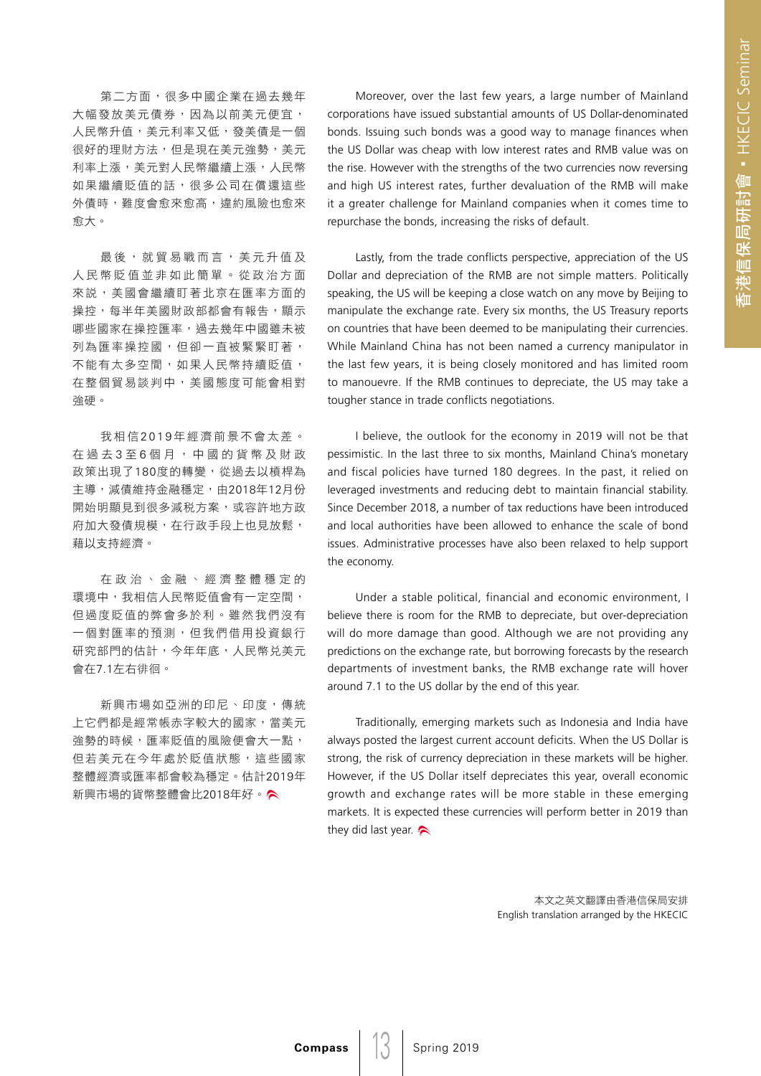第二方面,很多中國企業在過去幾年 大幅發放美元債券,因為以前美元便宜, 人民幣升值,美元利率又低,發美債是一個 很好的理財方法,但是現在美元強勢,美元 利率上漲,美元對人民幣繼續上漲,人民幣 如果繼續貶值的話,很多公司在償還狺些 外債時,難度會愈來愈高,違約風險也愈來 愈大。

最後,就貿易戰而言,美元升值及 人民幣貶值並非如此簡單。從政治方面 來說,美國會繼續盯著北京在匯率方面的 操控,每半年美國財政部都會有報告,顯示 哪些國家在操控匯率,過去幾年中國雖未被 列為匯率操控國,但卻一直被緊緊盯著, 不能有太多空間,如果人民幣持續貶值, 在整個貿易談判中,美國態度可能會相對 強硬。

我相信2019年經濟前景不會太差。 在過去3至6個月,中國的貨幣及財政 政策出現了180度的轉變,從過去以槓桿為 主導,減債維持金融穩定,由2018年12月份 開始明顯見到很多減税方案,或容許地方政 府加大發債規模,在行政手段上也見放鬆, 藉以支持經濟。

在政治、金融、經濟整體穩定的 環境中,我相信人民幣貶值會有一定空間, 但過度貶值的弊會多於利。雖然我們沒有 一個對匯率的預測,但我們借用投資銀行 研究部門的估計,今年年底,人民幣兑美元 會在7.1左右徘徊。

新興市場如亞洲的印尼、印度,傳統 上它們都是經常帳赤字較大的國家,當美元 強勢的時候,匯率貶值的風險便會大一點, 但若美元在今年處於貶值狀態,這些國家 整體經濟或匯率都會較為穩定。估計2019年 新興市場的貨幣整體會比2018年好。

Moreover, over the last few years, a large number of Mainland corporations have issued substantial amounts of US Dollar-denominated bonds. Issuing such bonds was a good way to manage finances when the US Dollar was cheap with low interest rates and RMB value was on the rise. However with the strengths of the two currencies now reversing and high US interest rates, further devaluation of the RMB will make it a greater challenge for Mainland companies when it comes time to repurchase the bonds, increasing the risks of default.

Lastly, from the trade conflicts perspective, appreciation of the US Dollar and depreciation of the RMB are not simple matters. Politically speaking, the US will be keeping a close watch on any move by Beijing to manipulate the exchange rate. Every six months, the US Treasury reports on countries that have been deemed to be manipulating their currencies. While Mainland China has not been named a currency manipulator in the last few years, it is being closely monitored and has limited room to manouevre. If the RMB continues to depreciate, the US may take a tougher stance in trade conflicts negotiations.

I believe, the outlook for the economy in 2019 will not be that pessimistic. In the last three to six months, Mainland China's monetary and fiscal policies have turned 180 degrees. In the past, it relied on leveraged investments and reducing debt to maintain financial stability. Since December 2018, a number of tax reductions have been introduced and local authorities have been allowed to enhance the scale of bond issues. Administrative processes have also been relaxed to help support the economy.

Under a stable political, financial and economic environment, I believe there is room for the RMB to depreciate, but over-depreciation will do more damage than good. Although we are not providing any predictions on the exchange rate, but borrowing forecasts by the research departments of investment banks, the RMB exchange rate will hover around 7.1 to the US dollar by the end of this year.

Traditionally, emerging markets such as Indonesia and India have always posted the largest current account deficits. When the US Dollar is strong, the risk of currency depreciation in these markets will be higher. However, if the US Dollar itself depreciates this year, overall economic growth and exchange rates will be more stable in these emerging markets. It is expected these currencies will perform better in 2019 than they did last year.

> 本文之英文翻譯由香港信保局安排 English translation arranged by the HKECIC

13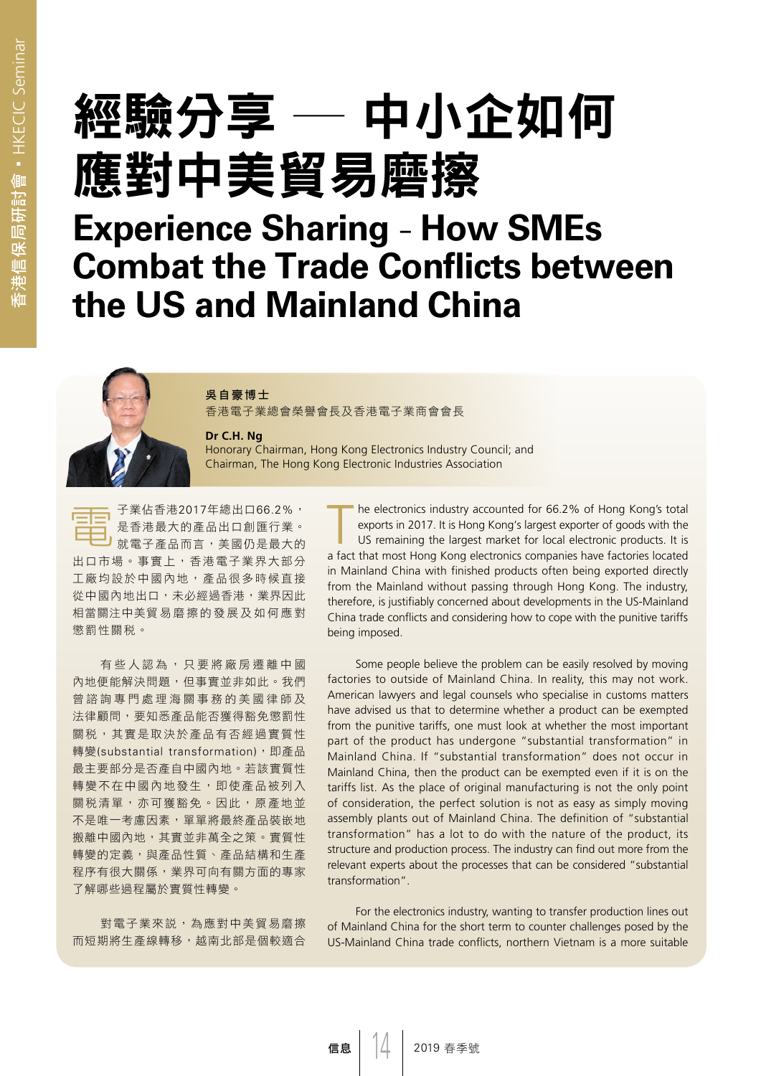# 經驗分享 ─ 中小企如何 應對中美貿易磨擦

### **Experience Sharing** - **How SMEs Combat the Trade Conflicts between the US and Mainland China**



香港電子業總會榮譽會長及香港電子業商會會長

#### **Dr C.H. Ng**

Honorary Chairman, Hong Kong Electronics Industry Council; and Chairman, The Hong Kong Electronic Industries Association

電子業佔香港2017年總出口66.2%, 是香港最大的產品出口創匯行業。 就電子產品而言,美國仍是最大的 出口市場。事實上,香港電子業界大部分 工廠均設於中國內地,產品很多時候直接 從中國內地出口,未必經過香港,業界因此 相當關注中美貿易磨擦的發展及如何應對 懲罰性關稅。

有些人認為,只要將廠房遷離中國 內地便能解決問題,但事實並非如此。我們 曾諮詢專門處理海關事務的美國律師及 法律顧問,要知悉產品能否獲得豁免懲罰性 關稅,其實是取決於產品有否經過實質性 轉變(substantial transformation),即產品 最主要部分是否產自中國內地。若該實質性 轉變不在中國內地發生,即使產品被列入 關税清單,亦可獲豁免。因此,原產地並 不是唯一考慮因素,單單將最終產品裝嵌地 搬離中國內地,其實並非萬全之策。實質性 轉變的定義,與產品性質、產品結構和生產 程序有很大關係,業界可向有關方面的專家 了解哪些過程屬於實質性轉變。

對電子業來說,為應對中美貿易磨擦 而短期將生產線轉移,越南北部是個較適合 he electronics industry accounted for 66.2% of Hong Kong's total exports in 2017. It is Hong Kong's largest exporter of goods with the US remaining the largest market for local electronic products. It is

a fact that most Hong Kong electronics companies have factories located in Mainland China with finished products often being exported directly from the Mainland without passing through Hong Kong. The industry, therefore, is justifiably concerned about developments in the US-Mainland China trade conflicts and considering how to cope with the punitive tariffs being imposed.

Some people believe the problem can be easily resolved by moving factories to outside of Mainland China. In reality, this may not work. American lawyers and legal counsels who specialise in customs matters have advised us that to determine whether a product can be exempted from the punitive tariffs, one must look at whether the most important part of the product has undergone "substantial transformation" in Mainland China. If "substantial transformation" does not occur in Mainland China, then the product can be exempted even if it is on the tariffs list. As the place of original manufacturing is not the only point of consideration, the perfect solution is not as easy as simply moving assembly plants out of Mainland China. The definition of "substantial transformation" has a lot to do with the nature of the product, its structure and production process. The industry can find out more from the relevant experts about the processes that can be considered "substantial transformation".

For the electronics industry, wanting to transfer production lines out of Mainland China for the short term to counter challenges posed by the US-Mainland China trade conflicts, northern Vietnam is a more suitable